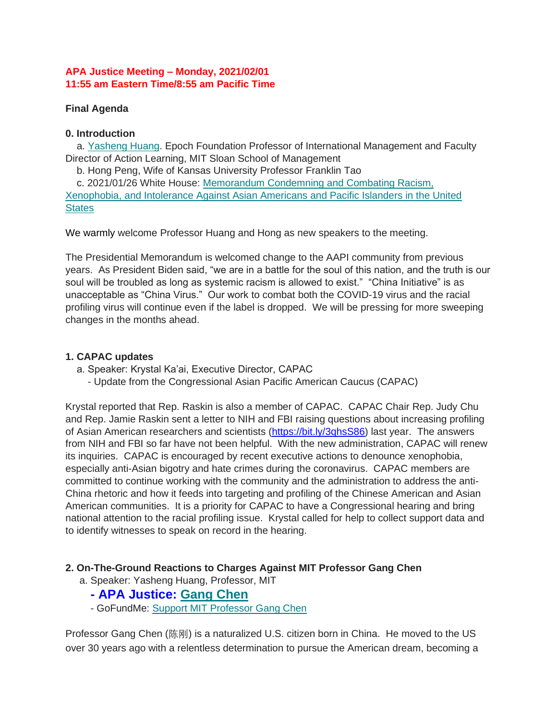## **APA Justice Meeting – Monday, 2021/02/01 11:55 am Eastern Time/8:55 am Pacific Time**

## **Final Agenda**

## **0. Introduction**

a. [Yasheng Huang.](http://bit.ly/2LLieHG) Epoch Foundation Professor of International Management and Faculty Director of Action Learning, MIT Sloan School of Management

b. Hong Peng, Wife of Kansas University Professor Franklin Tao

c. 2021/01/26 White House: [Memorandum Condemning and Combating Racism,](http://bit.ly/3ceCIDc)  [Xenophobia, and Intolerance Against Asian Americans and Pacific Islanders in the United](http://bit.ly/3ceCIDc)  **[States](http://bit.ly/3ceCIDc)** 

We warmly welcome Professor Huang and Hong as new speakers to the meeting.

The Presidential Memorandum is welcomed change to the AAPI community from previous years. As President Biden said, "we are in a battle for the soul of this nation, and the truth is our soul will be troubled as long as systemic racism is allowed to exist." "China Initiative" is as unacceptable as "China Virus." Our work to combat both the COVID-19 virus and the racial profiling virus will continue even if the label is dropped. We will be pressing for more sweeping changes in the months ahead.

## **1. CAPAC updates**

a. Speaker: Krystal Ka'ai, Executive Director, CAPAC

- Update from the Congressional Asian Pacific American Caucus (CAPAC)

Krystal reported that Rep. Raskin is also a member of CAPAC. CAPAC Chair Rep. Judy Chu and Rep. Jamie Raskin sent a letter to NIH and FBI raising questions about increasing profiling of Asian American researchers and scientists [\(https://bit.ly/3qhsS86\)](https://bit.ly/3qhsS86) last year. The answers from NIH and FBI so far have not been helpful. With the new administration, CAPAC will renew its inquiries. CAPAC is encouraged by recent executive actions to denounce xenophobia, especially anti-Asian bigotry and hate crimes during the coronavirus. CAPAC members are committed to continue working with the community and the administration to address the anti-China rhetoric and how it feeds into targeting and profiling of the Chinese American and Asian American communities. It is a priority for CAPAC to have a Congressional hearing and bring national attention to the racial profiling issue. Krystal called for help to collect support data and to identify witnesses to speak on record in the hearing.

## **2. On-The-Ground Reactions to Charges Against MIT Professor Gang Chen**

a. Speaker: Yasheng Huang, Professor, MIT

# **- APA Justice: [Gang Chen](http://bit.ly/APAJ_GangChen)**

- GoFundMe: [Support MIT Professor Gang Chen](http://bit.ly/2MdLoit)

Professor Gang Chen (陈刚) is a naturalized U.S. citizen born in China. He moved to the US over 30 years ago with a relentless determination to pursue the American dream, becoming a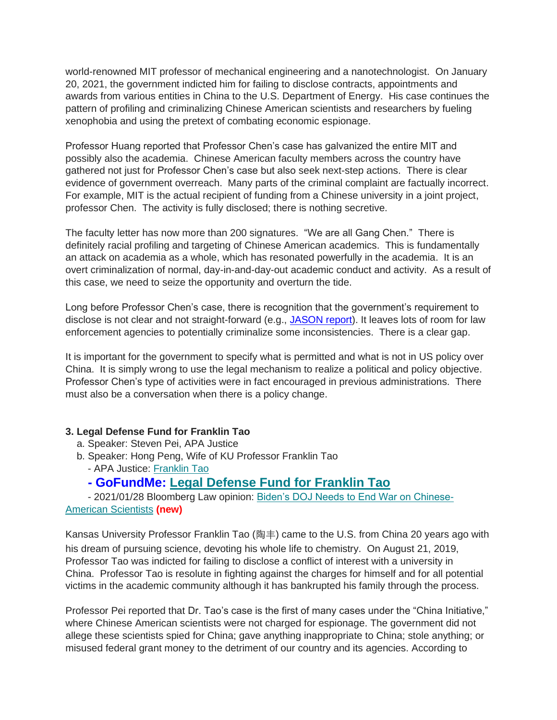world-renowned MIT professor of mechanical engineering and a nanotechnologist. On January 20, 2021, the government indicted him for failing to disclose contracts, appointments and awards from various entities in China to the U.S. Department of Energy. His case continues the pattern of profiling and criminalizing Chinese American scientists and researchers by fueling xenophobia and using the pretext of combating economic espionage.

Professor Huang reported that Professor Chen's case has galvanized the entire MIT and possibly also the academia. Chinese American faculty members across the country have gathered not just for Professor Chen's case but also seek next-step actions. There is clear evidence of government overreach. Many parts of the criminal complaint are factually incorrect. For example, MIT is the actual recipient of funding from a Chinese university in a joint project, professor Chen. The activity is fully disclosed; there is nothing secretive.

The faculty letter has now more than 200 signatures. "We are all Gang Chen." There is definitely racial profiling and targeting of Chinese American academics. This is fundamentally an attack on academia as a whole, which has resonated powerfully in the academia. It is an overt criminalization of normal, day-in-and-day-out academic conduct and activity. As a result of this case, we need to seize the opportunity and overturn the tide.

Long before Professor Chen's case, there is recognition that the government's requirement to disclose is not clear and not straight-forward (e.g., [JASON report\)](https://bit.ly/3dT9Cbg). It leaves lots of room for law enforcement agencies to potentially criminalize some inconsistencies. There is a clear gap.

It is important for the government to specify what is permitted and what is not in US policy over China. It is simply wrong to use the legal mechanism to realize a political and policy objective. Professor Chen's type of activities were in fact encouraged in previous administrations. There must also be a conversation when there is a policy change.

## **3. Legal Defense Fund for Franklin Tao**

- a. Speaker: Steven Pei, APA Justice
- b. Speaker: Hong Peng, Wife of KU Professor Franklin Tao
	- APA Justice: [Franklin Tao](https://bit.ly/3fZWJvK)

# **- GoFundMe: [Legal Defense Fund for Franklin Tao](https://gofund.me/5bf4adbe)**

- 2021/01/28 Bloomberg Law opinion: [Biden's DOJ Needs to End War on Chinese-](https://bit.ly/39qWIAV)[American Scientists](https://bit.ly/39qWIAV) **(new)**

Kansas University Professor Franklin Tao (陶丰) came to the U.S. from China 20 years ago with his dream of pursuing science, devoting his whole life to chemistry. On August 21, 2019, Professor Tao was indicted for failing to disclose a conflict of interest with a university in China. Professor Tao is resolute in fighting against the charges for himself and for all potential victims in the academic community although it has bankrupted his family through the process.

Professor Pei reported that Dr. Tao's case is the first of many cases under the "China Initiative," where Chinese American scientists were not charged for espionage. The government did not allege these scientists spied for China; gave anything inappropriate to China; stole anything; or misused federal grant money to the detriment of our country and its agencies. According to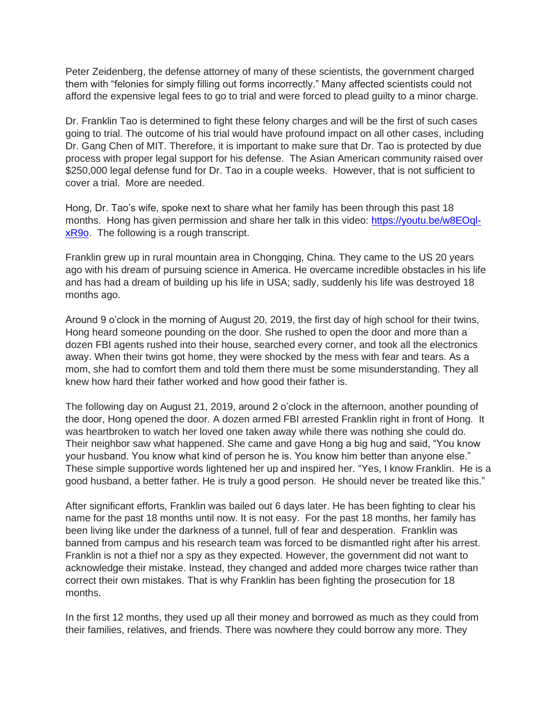Peter Zeidenberg, the defense attorney of many of these scientists, the government charged them with "felonies for simply filling out forms incorrectly." Many affected scientists could not afford the expensive legal fees to go to trial and were forced to plead guilty to a minor charge.

Dr. Franklin Tao is determined to fight these felony charges and will be the first of such cases going to trial. The outcome of his trial would have profound impact on all other cases, including Dr. Gang Chen of MIT. Therefore, it is important to make sure that Dr. Tao is protected by due process with proper legal support for his defense. The Asian American community raised over \$250,000 legal defense fund for Dr. Tao in a couple weeks. However, that is not sufficient to cover a trial. More are needed.

Hong, Dr. Tao's wife, spoke next to share what her family has been through this past 18 months. Hong has given permission and share her talk in this video: [https://youtu.be/w8EOql](https://youtu.be/w8EOql-xR9o)[xR9o.](https://youtu.be/w8EOql-xR9o) The following is a rough transcript.

Franklin grew up in rural mountain area in Chongqing, China. They came to the US 20 years ago with his dream of pursuing science in America. He overcame incredible obstacles in his life and has had a dream of building up his life in USA; sadly, suddenly his life was destroyed 18 months ago.

Around 9 o'clock in the morning of August 20, 2019, the first day of high school for their twins, Hong heard someone pounding on the door. She rushed to open the door and more than a dozen FBI agents rushed into their house, searched every corner, and took all the electronics away. When their twins got home, they were shocked by the mess with fear and tears. As a mom, she had to comfort them and told them there must be some misunderstanding. They all knew how hard their father worked and how good their father is.

The following day on August 21, 2019, around 2 o'clock in the afternoon, another pounding of the door, Hong opened the door. A dozen armed FBI arrested Franklin right in front of Hong. It was heartbroken to watch her loved one taken away while there was nothing she could do. Their neighbor saw what happened. She came and gave Hong a big hug and said, "You know your husband. You know what kind of person he is. You know him better than anyone else." These simple supportive words lightened her up and inspired her. "Yes, I know Franklin. He is a good husband, a better father. He is truly a good person. He should never be treated like this."

After significant efforts, Franklin was bailed out 6 days later. He has been fighting to clear his name for the past 18 months until now. It is not easy. For the past 18 months, her family has been living like under the darkness of a tunnel, full of fear and desperation. Franklin was banned from campus and his research team was forced to be dismantled right after his arrest. Franklin is not a thief nor a spy as they expected. However, the government did not want to acknowledge their mistake. Instead, they changed and added more charges twice rather than correct their own mistakes. That is why Franklin has been fighting the prosecution for 18 months.

In the first 12 months, they used up all their money and borrowed as much as they could from their families, relatives, and friends. There was nowhere they could borrow any more. They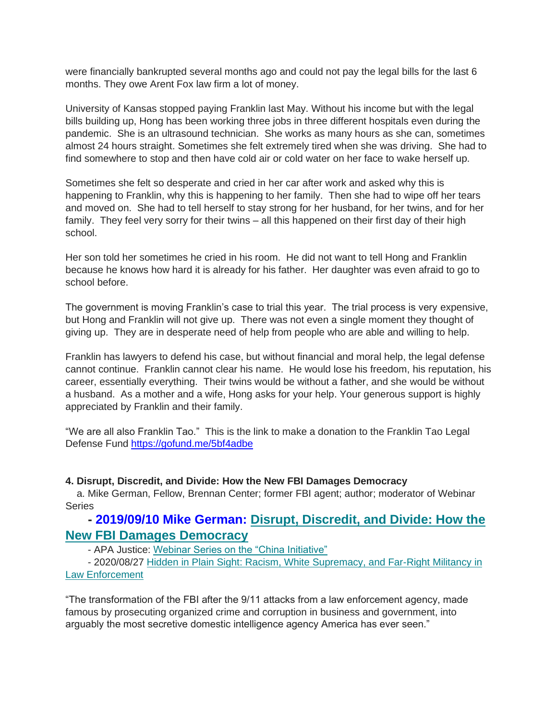were financially bankrupted several months ago and could not pay the legal bills for the last 6 months. They owe Arent Fox law firm a lot of money.

University of Kansas stopped paying Franklin last May. Without his income but with the legal bills building up, Hong has been working three jobs in three different hospitals even during the pandemic. She is an ultrasound technician. She works as many hours as she can, sometimes almost 24 hours straight. Sometimes she felt extremely tired when she was driving. She had to find somewhere to stop and then have cold air or cold water on her face to wake herself up.

Sometimes she felt so desperate and cried in her car after work and asked why this is happening to Franklin, why this is happening to her family. Then she had to wipe off her tears and moved on. She had to tell herself to stay strong for her husband, for her twins, and for her family. They feel very sorry for their twins – all this happened on their first day of their high school.

Her son told her sometimes he cried in his room. He did not want to tell Hong and Franklin because he knows how hard it is already for his father. Her daughter was even afraid to go to school before.

The government is moving Franklin's case to trial this year. The trial process is very expensive, but Hong and Franklin will not give up. There was not even a single moment they thought of giving up. They are in desperate need of help from people who are able and willing to help.

Franklin has lawyers to defend his case, but without financial and moral help, the legal defense cannot continue. Franklin cannot clear his name. He would lose his freedom, his reputation, his career, essentially everything. Their twins would be without a father, and she would be without a husband. As a mother and a wife, Hong asks for your help. Your generous support is highly appreciated by Franklin and their family.

"We are all also Franklin Tao." This is the link to make a donation to the Franklin Tao Legal Defense Fund <https://gofund.me/5bf4adbe>

#### **4. Disrupt, Discredit, and Divide: How the New FBI Damages Democracy**

a. Mike German, Fellow, Brennan Center; former FBI agent; author; moderator of Webinar **Series** 

# **- 2019/09/10 Mike German: [Disrupt, Discredit, and Divide: How the](http://amzn.to/2ESSdlI)  [New FBI Damages Democracy](http://amzn.to/2ESSdlI)**

- APA Justice: [Webinar Series on the "China Initiative"](https://bit.ly/APAJ_Webinar_Series)

- 2020/08/27 [Hidden in Plain Sight: Racism, White Supremacy, and Far-Right Militancy in](http://bit.ly/3bJWtSR)  [Law Enforcement](http://bit.ly/3bJWtSR)

"The transformation of the FBI after the 9/11 attacks from a law enforcement agency, made famous by prosecuting organized crime and corruption in business and government, into arguably the most secretive domestic intelligence agency America has ever seen."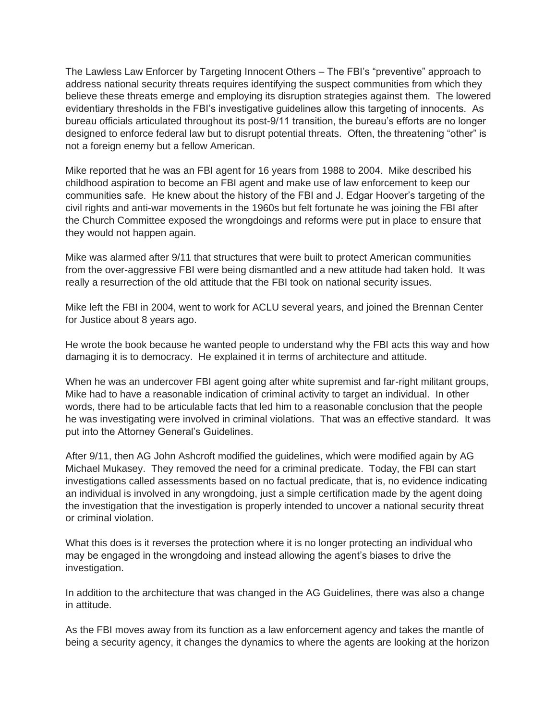The Lawless Law Enforcer by Targeting Innocent Others – The FBI's "preventive" approach to address national security threats requires identifying the suspect communities from which they believe these threats emerge and employing its disruption strategies against them. The lowered evidentiary thresholds in the FBI's investigative guidelines allow this targeting of innocents. As bureau officials articulated throughout its post-9/11 transition, the bureau's efforts are no longer designed to enforce federal law but to disrupt potential threats. Often, the threatening "other" is not a foreign enemy but a fellow American.

Mike reported that he was an FBI agent for 16 years from 1988 to 2004. Mike described his childhood aspiration to become an FBI agent and make use of law enforcement to keep our communities safe. He knew about the history of the FBI and J. Edgar Hoover's targeting of the civil rights and anti-war movements in the 1960s but felt fortunate he was joining the FBI after the Church Committee exposed the wrongdoings and reforms were put in place to ensure that they would not happen again.

Mike was alarmed after 9/11 that structures that were built to protect American communities from the over-aggressive FBI were being dismantled and a new attitude had taken hold. It was really a resurrection of the old attitude that the FBI took on national security issues.

Mike left the FBI in 2004, went to work for ACLU several years, and joined the Brennan Center for Justice about 8 years ago.

He wrote the book because he wanted people to understand why the FBI acts this way and how damaging it is to democracy. He explained it in terms of architecture and attitude.

When he was an undercover FBI agent going after white supremist and far-right militant groups, Mike had to have a reasonable indication of criminal activity to target an individual. In other words, there had to be articulable facts that led him to a reasonable conclusion that the people he was investigating were involved in criminal violations. That was an effective standard. It was put into the Attorney General's Guidelines.

After 9/11, then AG John Ashcroft modified the guidelines, which were modified again by AG Michael Mukasey. They removed the need for a criminal predicate. Today, the FBI can start investigations called assessments based on no factual predicate, that is, no evidence indicating an individual is involved in any wrongdoing, just a simple certification made by the agent doing the investigation that the investigation is properly intended to uncover a national security threat or criminal violation.

What this does is it reverses the protection where it is no longer protecting an individual who may be engaged in the wrongdoing and instead allowing the agent's biases to drive the investigation.

In addition to the architecture that was changed in the AG Guidelines, there was also a change in attitude.

As the FBI moves away from its function as a law enforcement agency and takes the mantle of being a security agency, it changes the dynamics to where the agents are looking at the horizon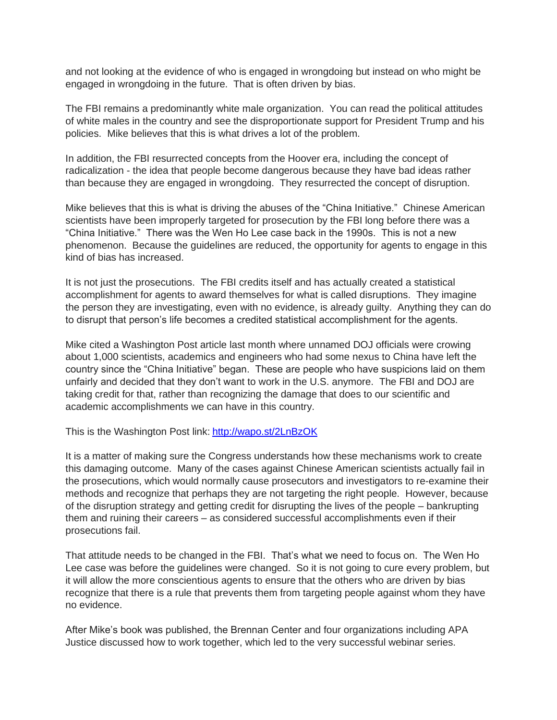and not looking at the evidence of who is engaged in wrongdoing but instead on who might be engaged in wrongdoing in the future. That is often driven by bias.

The FBI remains a predominantly white male organization. You can read the political attitudes of white males in the country and see the disproportionate support for President Trump and his policies. Mike believes that this is what drives a lot of the problem.

In addition, the FBI resurrected concepts from the Hoover era, including the concept of radicalization - the idea that people become dangerous because they have bad ideas rather than because they are engaged in wrongdoing. They resurrected the concept of disruption.

Mike believes that this is what is driving the abuses of the "China Initiative." Chinese American scientists have been improperly targeted for prosecution by the FBI long before there was a "China Initiative." There was the Wen Ho Lee case back in the 1990s. This is not a new phenomenon. Because the guidelines are reduced, the opportunity for agents to engage in this kind of bias has increased.

It is not just the prosecutions. The FBI credits itself and has actually created a statistical accomplishment for agents to award themselves for what is called disruptions. They imagine the person they are investigating, even with no evidence, is already guilty. Anything they can do to disrupt that person's life becomes a credited statistical accomplishment for the agents.

Mike cited a Washington Post article last month where unnamed DOJ officials were crowing about 1,000 scientists, academics and engineers who had some nexus to China have left the country since the "China Initiative" began. These are people who have suspicions laid on them unfairly and decided that they don't want to work in the U.S. anymore. The FBI and DOJ are taking credit for that, rather than recognizing the damage that does to our scientific and academic accomplishments we can have in this country.

This is the Washington Post link: <http://wapo.st/2LnBzOK>

It is a matter of making sure the Congress understands how these mechanisms work to create this damaging outcome. Many of the cases against Chinese American scientists actually fail in the prosecutions, which would normally cause prosecutors and investigators to re-examine their methods and recognize that perhaps they are not targeting the right people. However, because of the disruption strategy and getting credit for disrupting the lives of the people – bankrupting them and ruining their careers – as considered successful accomplishments even if their prosecutions fail.

That attitude needs to be changed in the FBI. That's what we need to focus on. The Wen Ho Lee case was before the guidelines were changed. So it is not going to cure every problem, but it will allow the more conscientious agents to ensure that the others who are driven by bias recognize that there is a rule that prevents them from targeting people against whom they have no evidence.

After Mike's book was published, the Brennan Center and four organizations including APA Justice discussed how to work together, which led to the very successful webinar series.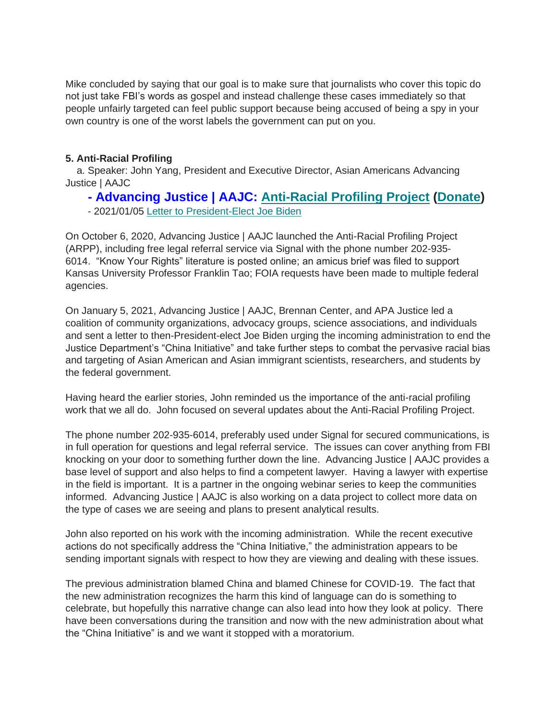Mike concluded by saying that our goal is to make sure that journalists who cover this topic do not just take FBI's words as gospel and instead challenge these cases immediately so that people unfairly targeted can feel public support because being accused of being a spy in your own country is one of the worst labels the government can put on you.

## **5. Anti-Racial Profiling**

a. Speaker: John Yang, President and Executive Director, Asian Americans Advancing Justice | AAJC

## **- Advancing Justice | AAJC: [Anti-Racial Profiling Project](https://bit.ly/36TA8Aa) [\(Donate\)](https://bit.ly/3iIQVbe)**

- 2021/01/05 [Letter to President-Elect Joe Biden](https://bit.ly/2Mvb1eA)

On October 6, 2020, Advancing Justice | AAJC launched the Anti-Racial Profiling Project (ARPP), including free legal referral service via Signal with the phone number 202-935- 6014. "Know Your Rights" literature is posted online; an amicus brief was filed to support Kansas University Professor Franklin Tao; FOIA requests have been made to multiple federal agencies.

On January 5, 2021, Advancing Justice | AAJC, Brennan Center, and APA Justice led a coalition of community organizations, advocacy groups, science associations, and individuals and sent a letter to then-President-elect Joe Biden urging the incoming administration to end the Justice Department's "China Initiative" and take further steps to combat the pervasive racial bias and targeting of Asian American and Asian immigrant scientists, researchers, and students by the federal government.

Having heard the earlier stories, John reminded us the importance of the anti-racial profiling work that we all do. John focused on several updates about the Anti-Racial Profiling Project.

The phone number 202-935-6014, preferably used under Signal for secured communications, is in full operation for questions and legal referral service. The issues can cover anything from FBI knocking on your door to something further down the line. Advancing Justice | AAJC provides a base level of support and also helps to find a competent lawyer. Having a lawyer with expertise in the field is important. It is a partner in the ongoing webinar series to keep the communities informed. Advancing Justice | AAJC is also working on a data project to collect more data on the type of cases we are seeing and plans to present analytical results.

John also reported on his work with the incoming administration. While the recent executive actions do not specifically address the "China Initiative," the administration appears to be sending important signals with respect to how they are viewing and dealing with these issues.

The previous administration blamed China and blamed Chinese for COVID-19. The fact that the new administration recognizes the harm this kind of language can do is something to celebrate, but hopefully this narrative change can also lead into how they look at policy. There have been conversations during the transition and now with the new administration about what the "China Initiative" is and we want it stopped with a moratorium.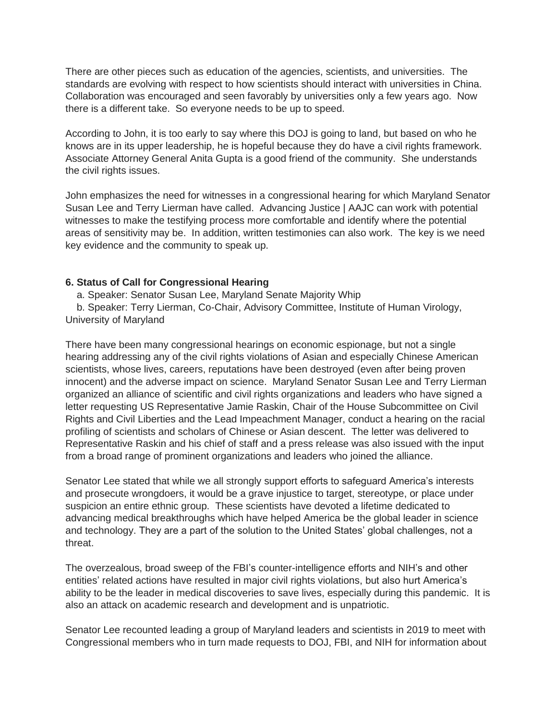There are other pieces such as education of the agencies, scientists, and universities. The standards are evolving with respect to how scientists should interact with universities in China. Collaboration was encouraged and seen favorably by universities only a few years ago. Now there is a different take. So everyone needs to be up to speed.

According to John, it is too early to say where this DOJ is going to land, but based on who he knows are in its upper leadership, he is hopeful because they do have a civil rights framework. Associate Attorney General Anita Gupta is a good friend of the community. She understands the civil rights issues.

John emphasizes the need for witnesses in a congressional hearing for which Maryland Senator Susan Lee and Terry Lierman have called. Advancing Justice | AAJC can work with potential witnesses to make the testifying process more comfortable and identify where the potential areas of sensitivity may be. In addition, written testimonies can also work. The key is we need key evidence and the community to speak up.

#### **6. Status of Call for Congressional Hearing**

a. Speaker: Senator Susan Lee, Maryland Senate Majority Whip

b. Speaker: Terry Lierman, Co-Chair, Advisory Committee, Institute of Human Virology, University of Maryland

There have been many congressional hearings on economic espionage, but not a single hearing addressing any of the civil rights violations of Asian and especially Chinese American scientists, whose lives, careers, reputations have been destroyed (even after being proven innocent) and the adverse impact on science. Maryland Senator Susan Lee and Terry Lierman organized an alliance of scientific and civil rights organizations and leaders who have signed a letter requesting US Representative Jamie Raskin, Chair of the House Subcommittee on Civil Rights and Civil Liberties and the Lead Impeachment Manager, conduct a hearing on the racial profiling of scientists and scholars of Chinese or Asian descent. The letter was delivered to Representative Raskin and his chief of staff and a press release was also issued with the input from a broad range of prominent organizations and leaders who joined the alliance.

Senator Lee stated that while we all strongly support efforts to safeguard America's interests and prosecute wrongdoers, it would be a grave injustice to target, stereotype, or place under suspicion an entire ethnic group. These scientists have devoted a lifetime dedicated to advancing medical breakthroughs which have helped America be the global leader in science and technology. They are a part of the solution to the United States' global challenges, not a threat.

The overzealous, broad sweep of the FBI's counter-intelligence efforts and NIH's and other entities' related actions have resulted in major civil rights violations, but also hurt America's ability to be the leader in medical discoveries to save lives, especially during this pandemic. It is also an attack on academic research and development and is unpatriotic.

Senator Lee recounted leading a group of Maryland leaders and scientists in 2019 to meet with Congressional members who in turn made requests to DOJ, FBI, and NIH for information about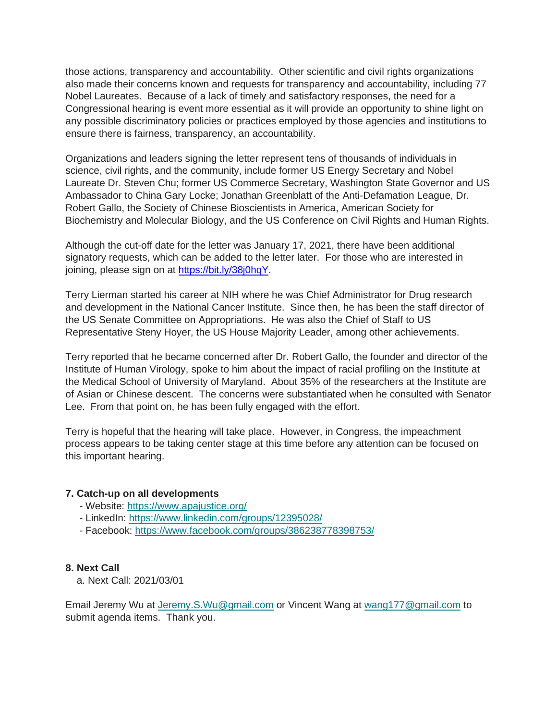those actions, transparency and accountability. Other scientific and civil rights organizations also made their concerns known and requests for transparency and accountability, including 77 Nobel Laureates. Because of a lack of timely and satisfactory responses, the need for a Congressional hearing is event more essential as it will provide an opportunity to shine light on any possible discriminatory policies or practices employed by those agencies and institutions to ensure there is fairness, transparency, an accountability.

Organizations and leaders signing the letter represent tens of thousands of individuals in science, civil rights, and the community, include former US Energy Secretary and Nobel Laureate Dr. Steven Chu; former US Commerce Secretary, Washington State Governor and US Ambassador to China Gary Locke; Jonathan Greenblatt of the Anti-Defamation League, Dr. Robert Gallo, the Society of Chinese Bioscientists in America, American Society for Biochemistry and Molecular Biology, and the US Conference on Civil Rights and Human Rights.

Although the cut-off date for the letter was January 17, 2021, there have been additional signatory requests, which can be added to the letter later. For those who are interested in joining, please sign on at [https://bit.ly/38j0hqY.](https://bit.ly/38j0hqY)

Terry Lierman started his career at NIH where he was Chief Administrator for Drug research and development in the National Cancer Institute. Since then, he has been the staff director of the US Senate Committee on Appropriations. He was also the Chief of Staff to US Representative Steny Hoyer, the US House Majority Leader, among other achievements.

Terry reported that he became concerned after Dr. Robert Gallo, the founder and director of the Institute of Human Virology, spoke to him about the impact of racial profiling on the Institute at the Medical School of University of Maryland. About 35% of the researchers at the Institute are of Asian or Chinese descent. The concerns were substantiated when he consulted with Senator Lee. From that point on, he has been fully engaged with the effort.

Terry is hopeful that the hearing will take place. However, in Congress, the impeachment process appears to be taking center stage at this time before any attention can be focused on this important hearing.

## **7. Catch-up on all developments**

- Website: [https://www.apajustice.org/](https://apajustice.us10.list-manage.com/track/click?u=e7b59f65e74d0cf687a5f268c&id=c02bf7985a&e=168c9b0d2e)
- LinkedIn: [https://www.linkedin.com/groups/12395028/](https://apajustice.us10.list-manage.com/track/click?u=e7b59f65e74d0cf687a5f268c&id=fc1fcfba69&e=168c9b0d2e)
- Facebook: [https://www.facebook.com/groups/386238778398753/](https://apajustice.us10.list-manage.com/track/click?u=e7b59f65e74d0cf687a5f268c&id=28afe448a2&e=168c9b0d2e)

#### **8. Next Call**

a. Next Call: 2021/03/01

Email Jeremy Wu at [Jeremy.S.Wu@gmail.com](mailto:Jeremy.S.Wu@gmail.com) or Vincent Wang at [wang177@gmail.com](mailto:wang177@gmail.com) to submit agenda items. Thank you.